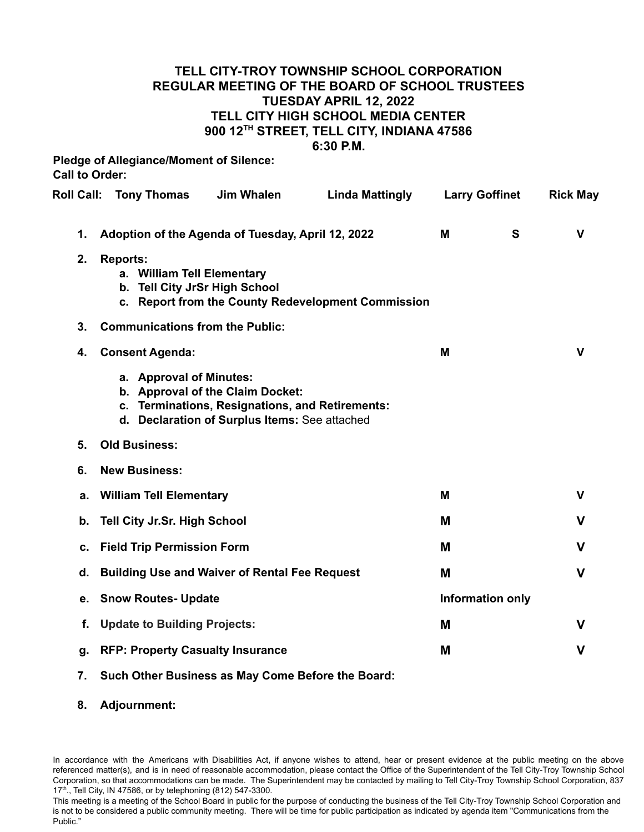## **TELL CITY-TROY TOWNSHIP SCHOOL CORPORATION REGULAR MEETING OF THE BOARD OF SCHOOL TRUSTEES TUESDAY APRIL 12, 2022 TELL CITY HIGH SCHOOL MEDIA CENTER 900 12TH STREET, TELL CITY, INDIANA 47586 6:30 P.M.**

**Pledge of Allegiance/Moment of Silence: Call to Order:**

| <b>Roll Call:</b> | <b>Tony Thomas</b>                                                             | <b>Jim Whalen</b>                                                                                                                    | <b>Linda Mattingly</b>                             | <b>Larry Goffinet</b> |                  | <b>Rick May</b> |
|-------------------|--------------------------------------------------------------------------------|--------------------------------------------------------------------------------------------------------------------------------------|----------------------------------------------------|-----------------------|------------------|-----------------|
| 1.                | Adoption of the Agenda of Tuesday, April 12, 2022                              |                                                                                                                                      |                                                    | M                     | S                | $\mathbf v$     |
| 2.                | <b>Reports:</b><br>a. William Tell Elementary<br>b. Tell City JrSr High School |                                                                                                                                      | c. Report from the County Redevelopment Commission |                       |                  |                 |
| 3.                | <b>Communications from the Public:</b>                                         |                                                                                                                                      |                                                    |                       |                  |                 |
| 4.                | <b>Consent Agenda:</b>                                                         |                                                                                                                                      |                                                    | M                     |                  | $\mathbf v$     |
|                   | a. Approval of Minutes:                                                        | b. Approval of the Claim Docket:<br>c. Terminations, Resignations, and Retirements:<br>d. Declaration of Surplus Items: See attached |                                                    |                       |                  |                 |
| 5.                | <b>Old Business:</b>                                                           |                                                                                                                                      |                                                    |                       |                  |                 |
| 6.                | <b>New Business:</b>                                                           |                                                                                                                                      |                                                    |                       |                  |                 |
| а.                | <b>William Tell Elementary</b>                                                 |                                                                                                                                      |                                                    | M                     |                  | $\mathbf v$     |
| b.                | Tell City Jr.Sr. High School                                                   |                                                                                                                                      |                                                    | M                     |                  | $\mathbf v$     |
| c.                | <b>Field Trip Permission Form</b>                                              |                                                                                                                                      |                                                    | M                     |                  | $\mathbf v$     |
| d.                | <b>Building Use and Waiver of Rental Fee Request</b>                           |                                                                                                                                      |                                                    | M                     |                  | $\mathbf v$     |
| е.                | <b>Snow Routes- Update</b>                                                     |                                                                                                                                      |                                                    |                       | Information only |                 |
| f.                | <b>Update to Building Projects:</b>                                            |                                                                                                                                      |                                                    | M                     |                  | $\mathbf v$     |
| g.                | <b>RFP: Property Casualty Insurance</b>                                        |                                                                                                                                      |                                                    | M                     |                  | $\mathbf v$     |
|                   |                                                                                |                                                                                                                                      |                                                    |                       |                  |                 |

- **7. Such Other Business as May Come Before the Board:**
- **8. Adjournment:**

In accordance with the Americans with Disabilities Act, if anyone wishes to attend, hear or present evidence at the public meeting on the above referenced matter(s), and is in need of reasonable accommodation, please contact the Office of the Superintendent of the Tell City-Troy Township School Corporation, so that accommodations can be made. The Superintendent may be contacted by mailing to Tell City-Troy Township School Corporation, 837 17<sup>th</sup>., Tell City, IN 47586, or by telephoning (812) 547-3300.

This meeting is a meeting of the School Board in public for the purpose of conducting the business of the Tell City-Troy Township School Corporation and is not to be considered a public community meeting. There will be time for public participation as indicated by agenda item "Communications from the Public."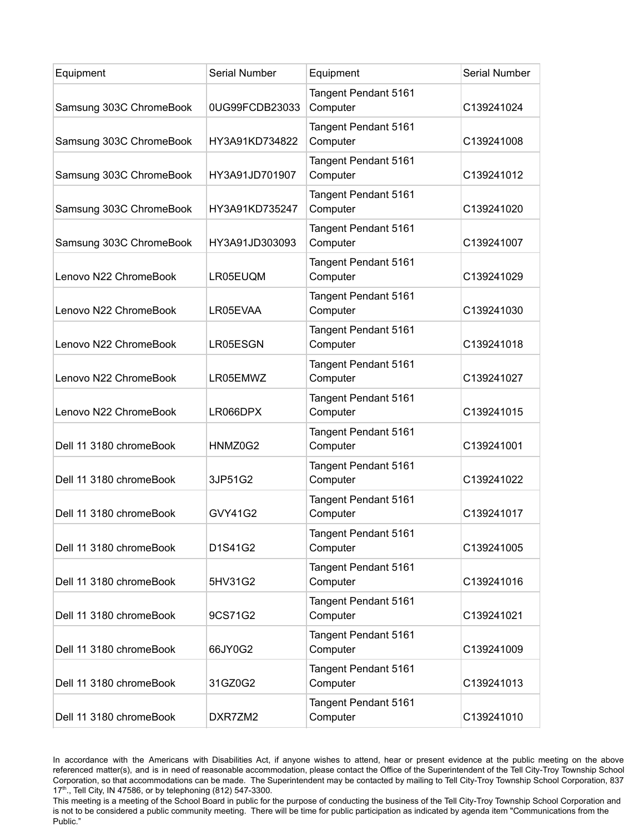| Equipment               | Serial Number  | Equipment                        | <b>Serial Number</b> |
|-------------------------|----------------|----------------------------------|----------------------|
| Samsung 303C ChromeBook | 0UG99FCDB23033 | Tangent Pendant 5161<br>Computer | C139241024           |
| Samsung 303C ChromeBook | HY3A91KD734822 | Tangent Pendant 5161<br>Computer | C139241008           |
| Samsung 303C ChromeBook | HY3A91JD701907 | Tangent Pendant 5161<br>Computer | C139241012           |
| Samsung 303C ChromeBook | HY3A91KD735247 | Tangent Pendant 5161<br>Computer | C139241020           |
| Samsung 303C ChromeBook | HY3A91JD303093 | Tangent Pendant 5161<br>Computer | C139241007           |
| Lenovo N22 ChromeBook   | LR05EUQM       | Tangent Pendant 5161<br>Computer | C139241029           |
| Lenovo N22 ChromeBook   | LR05EVAA       | Tangent Pendant 5161<br>Computer | C139241030           |
| Lenovo N22 ChromeBook   | LR05ESGN       | Tangent Pendant 5161<br>Computer | C139241018           |
| Lenovo N22 ChromeBook   | LR05EMWZ       | Tangent Pendant 5161<br>Computer | C139241027           |
| Lenovo N22 ChromeBook   | LR066DPX       | Tangent Pendant 5161<br>Computer | C139241015           |
| Dell 11 3180 chromeBook | HNMZ0G2        | Tangent Pendant 5161<br>Computer | C139241001           |
| Dell 11 3180 chromeBook | 3JP51G2        | Tangent Pendant 5161<br>Computer | C139241022           |
| Dell 11 3180 chromeBook | GVY41G2        | Tangent Pendant 5161<br>Computer | C139241017           |
| Dell 11 3180 chromeBook | D1S41G2        | Tangent Pendant 5161<br>Computer | C139241005           |
| Dell 11 3180 chromeBook | 5HV31G2        | Tangent Pendant 5161<br>Computer | C139241016           |
| Dell 11 3180 chromeBook | 9CS71G2        | Tangent Pendant 5161<br>Computer | C139241021           |
| Dell 11 3180 chromeBook | 66JY0G2        | Tangent Pendant 5161<br>Computer | C139241009           |
| Dell 11 3180 chromeBook | 31GZ0G2        | Tangent Pendant 5161<br>Computer | C139241013           |
| Dell 11 3180 chromeBook | DXR7ZM2        | Tangent Pendant 5161<br>Computer | C139241010           |

In accordance with the Americans with Disabilities Act, if anyone wishes to attend, hear or present evidence at the public meeting on the above referenced matter(s), and is in need of reasonable accommodation, please contact the Office of the Superintendent of the Tell City-Troy Township School Corporation, so that accommodations can be made. The Superintendent may be contacted by mailing to Tell City-Troy Township School Corporation, 837 17<sup>th</sup>., Tell City, IN 47586, or by telephoning (812) 547-3300.

This meeting is a meeting of the School Board in public for the purpose of conducting the business of the Tell City-Troy Township School Corporation and is not to be considered a public community meeting. There will be time for public participation as indicated by agenda item "Communications from the Public."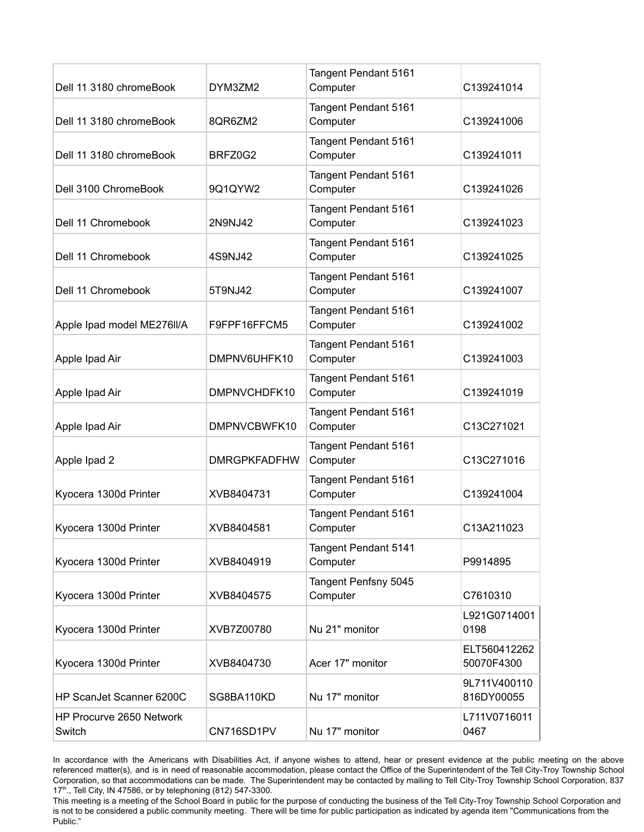| Dell 11 3180 chromeBook            | DYM3ZM2             | Tangent Pendant 5161<br>Computer | C139241014                 |
|------------------------------------|---------------------|----------------------------------|----------------------------|
| Dell 11 3180 chromeBook            | 8QR6ZM2             | Tangent Pendant 5161<br>Computer | C139241006                 |
| Dell 11 3180 chromeBook            | BRFZ0G2             | Tangent Pendant 5161<br>Computer | C139241011                 |
| Dell 3100 ChromeBook               | 9Q1QYW2             | Tangent Pendant 5161<br>Computer | C139241026                 |
| Dell 11 Chromebook                 | 2N9NJ42             | Tangent Pendant 5161<br>Computer | C139241023                 |
| Dell 11 Chromebook                 | 4S9NJ42             | Tangent Pendant 5161<br>Computer | C139241025                 |
| Dell 11 Chromebook                 | 5T9NJ42             | Tangent Pendant 5161<br>Computer | C139241007                 |
| Apple Ipad model ME276II/A         | F9FPF16FFCM5        | Tangent Pendant 5161<br>Computer | C139241002                 |
| Apple Ipad Air                     | DMPNV6UHFK10        | Tangent Pendant 5161<br>Computer | C139241003                 |
| Apple Ipad Air                     | DMPNVCHDFK10        | Tangent Pendant 5161<br>Computer | C139241019                 |
| Apple Ipad Air                     | DMPNVCBWFK10        | Tangent Pendant 5161<br>Computer | C13C271021                 |
| Apple Ipad 2                       | <b>DMRGPKFADFHW</b> | Tangent Pendant 5161<br>Computer | C13C271016                 |
| Kyocera 1300d Printer              | XVB8404731          | Tangent Pendant 5161<br>Computer | C139241004                 |
| Kyocera 1300d Printer              | XVB8404581          | Tangent Pendant 5161<br>Computer | C13A211023                 |
| Kyocera 1300d Printer              | XVB8404919          | Tangent Pendant 5141<br>Computer | P9914895                   |
| Kyocera 1300d Printer              | XVB8404575          | Tangent Penfsny 5045<br>Computer | C7610310                   |
| Kyocera 1300d Printer              | XVB7Z00780          | Nu 21" monitor                   | L921G0714001<br>0198       |
| Kyocera 1300d Printer              | XVB8404730          | Acer 17" monitor                 | ELT560412262<br>50070F4300 |
| HP ScanJet Scanner 6200C           | SG8BA110KD          | Nu 17" monitor                   | 9L711V400110<br>816DY00055 |
| HP Procurve 2650 Network<br>Switch | CN716SD1PV          | Nu 17" monitor                   | L711V0716011<br>0467       |
|                                    |                     |                                  |                            |

In accordance with the Americans with Disabilities Act, if anyone wishes to attend, hear or present evidence at the public meeting on the above referenced matter(s), and is in need of reasonable accommodation, please contact the Office of the Superintendent of the Tell City-Troy Township School Corporation, so that accommodations can be made. The Superintendent may be contacted by mailing to Tell City-Troy Township School Corporation, 837 17<sup>th</sup>., Tell City, IN 47586, or by telephoning (812) 547-3300.

This meeting is a meeting of the School Board in public for the purpose of conducting the business of the Tell City-Troy Township School Corporation and is not to be considered a public community meeting. There will be time for public participation as indicated by agenda item "Communications from the Public."